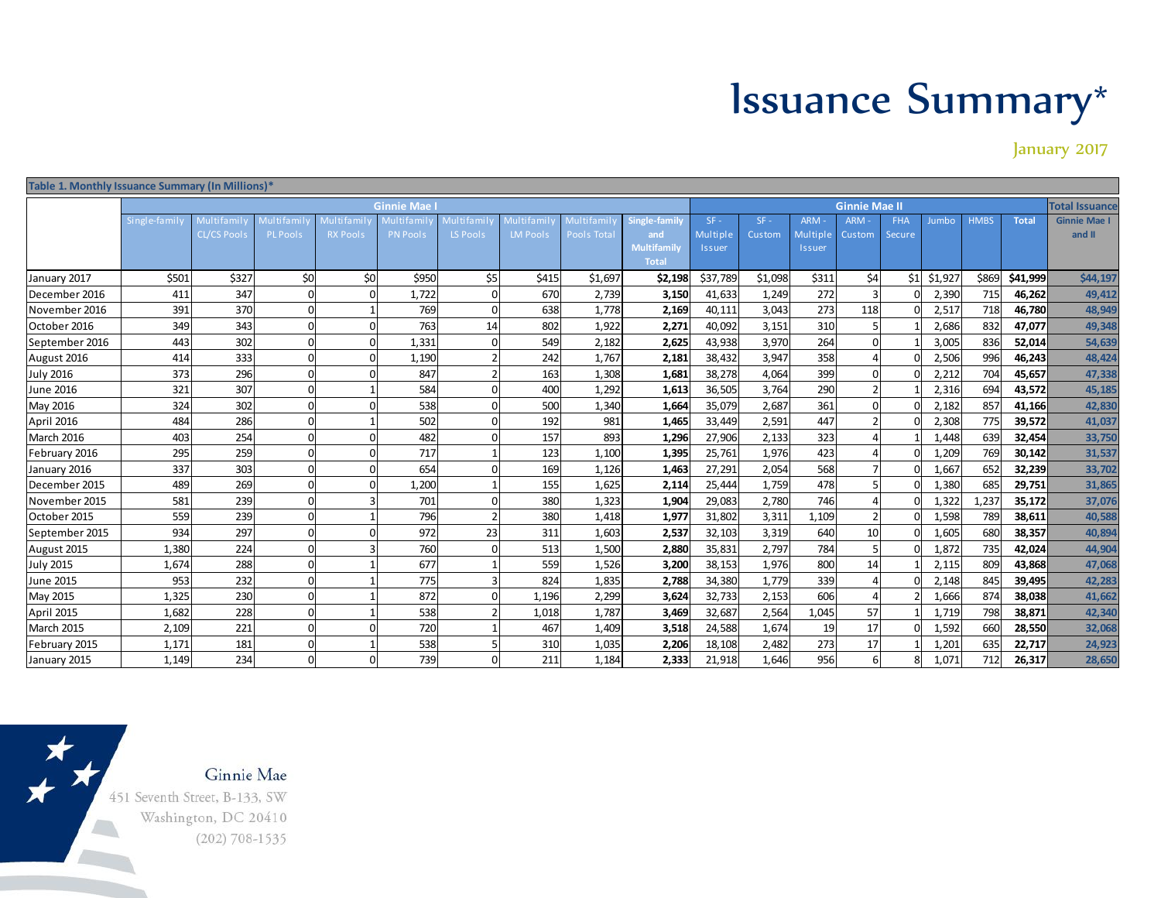## Issuance Summary\*

January 2017

| Table 1. Monthly Issuance Summary (In Millions)* |                   |                    |                 |                  |                   |                            |                         |                    |                                   |                      |         |            |                 |        |                |             |              |                       |
|--------------------------------------------------|-------------------|--------------------|-----------------|------------------|-------------------|----------------------------|-------------------------|--------------------|-----------------------------------|----------------------|---------|------------|-----------------|--------|----------------|-------------|--------------|-----------------------|
|                                                  | <b>Ginnie Mae</b> |                    |                 |                  |                   |                            |                         |                    |                                   | <b>Ginnie Mae II</b> |         |            |                 |        |                |             |              | <b>Total Issuance</b> |
|                                                  | Single-family     | Multi fa mi l      | Multi fami      | <b>Multifami</b> | <b>Multifamil</b> | Multi fa mi l <sub>'</sub> | Multifamil <sup>,</sup> | Multi famil        | Single-family                     | $SF -$               | $SF -$  | <b>ARM</b> | ARM -           | FHA    | Jumbo          | <b>HMBS</b> | <b>Total</b> | <b>Ginnie Mae I</b>   |
|                                                  |                   | <b>CL/CS Pool:</b> | <b>PL Pools</b> | <b>RX Pools</b>  | PN Pools          | <b>LS Pools</b>            | <b>LM Pools</b>         | <b>Pools Total</b> | and                               | Multiple             | Custom  | Multiple   | Custom          | Secure |                |             |              | and II                |
|                                                  |                   |                    |                 |                  |                   |                            |                         |                    | <b>Multifamil</b><br><b>Total</b> | <i><b>Issuer</b></i> |         | Issuer     |                 |        |                |             |              |                       |
|                                                  | \$501             | \$327              | \$0             | \$0              | \$950             | \$5                        | \$415                   | \$1,697            | \$2,198                           | \$37,789             | \$1,098 | \$311      | \$4             | \$1    | \$1,927        | \$869       | \$41,999     | \$44,197              |
| January 2017                                     | 411               | 347                |                 |                  | 1,722             |                            | 670                     | 2,739              |                                   | 41,633               | 1,249   | 272        |                 |        |                | 715         | 46.262       |                       |
| December 2016                                    | 391               | 370                |                 |                  | 769               |                            | 638                     |                    | 3,150                             |                      | 3,043   | 273        |                 |        | 2,390<br>2,517 |             |              | 49,412                |
| November 2016                                    |                   |                    |                 |                  |                   |                            |                         | 1,778              | 2,169                             | 40,111               |         |            | 118             |        |                | 718         | 46,780       | 48,949                |
| October 2016                                     | 349               | 343                |                 |                  | 763               | 14                         | 802                     | 1,922              | 2,271                             | 40,092               | 3,151   | 310        | $\Omega$        |        | 2,686          | 832         | 47,077       | 49,348                |
| September 2016                                   | 443               | 302                |                 |                  | 1,331             |                            | 549                     | 2,182              | 2,625                             | 43,938               | 3,970   | 264        |                 |        | 3,005          | 836         | 52,014       | 54,639                |
| August 2016                                      | 414               | 333                |                 |                  | 1,190             |                            | 242                     | 1,767              | 2,181                             | 38,432               | 3,947   | 358        |                 |        | 2,506          | 996         | 46,243       | 48,424                |
| <b>July 2016</b>                                 | 373               | 296                |                 |                  | 847               |                            | 163                     | 1,308              | 1,681                             | 38,278               | 4,064   | 399        | $\Omega$        |        | 2,212          | 704         | 45,657       | 47,338                |
| <b>June 2016</b>                                 | 321               | 307                |                 |                  | 584               |                            | 400                     | 1,292              | 1,613                             | 36,505               | 3,764   | 290        |                 |        | 2,316          | 694         | 43,572       | 45,185                |
| May 2016                                         | 324               | 302                |                 |                  | 538               |                            | 500                     | 1,340              | 1,664                             | 35,079               | 2,687   | 361        | $\Omega$        |        | 2,182          | 857         | 41,166       | 42,830                |
| April 2016                                       | 484               | 286                |                 |                  | 502               |                            | 192                     | 981                | 1,465                             | 33,449               | 2,591   | 447        |                 |        | 2,308          | 775         | 39,572       | 41,037                |
| March 2016                                       | 403               | 254                |                 |                  | 482               |                            | 157                     | 893                | 1,296                             | 27,906               | 2,133   | 323        |                 |        | 1,448          | 639         | 32,454       | 33,750                |
| February 2016                                    | 295               | 259                |                 |                  | 717               |                            | 123                     | 1,100              | 1,395                             | 25,761               | 1,976   | 423        |                 |        | 1,209          | 769         | 30,142       | 31,537                |
| January 2016                                     | 337               | 303                |                 |                  | 654               |                            | 169                     | 1,126              | 1,463                             | 27,291               | 2,054   | 568        |                 |        | 1,667          | 652         | 32,239       | 33,702                |
| December 2015                                    | 489               | 269                |                 |                  | 1,200             |                            | 155                     | 1,625              | 2,114                             | 25,444               | 1,759   | 478        |                 |        | 1,380          | 685         | 29,751       | 31,865                |
| November 2015                                    | 581               | 239                |                 |                  | 701               |                            | 380                     | 1,323              | 1,904                             | 29,083               | 2,780   | 746        |                 |        | 1,322          | 1,237       | 35,172       | 37,076                |
| October 2015                                     | 559               | 239                |                 |                  | 796               |                            | 380                     | 1,418              | 1,977                             | 31,802               | 3,311   | 1,109      |                 |        | 1,598          | 789         | 38,611       | 40,588                |
| September 2015                                   | 934               | 297                |                 |                  | 972               | 23                         | 311                     | 1,603              | 2,537                             | 32,103               | 3,319   | 640        | 10 <sup>1</sup> |        | 1,605          | 680         | 38,357       | 40,894                |
| August 2015                                      | 1,380             | 224                |                 |                  | 760               |                            | 513                     | 1,500              | 2,880                             | 35,831               | 2,797   | 784        |                 |        | 1,872          | 735         | 42,024       | 44,904                |
| <b>July 2015</b>                                 | 1,674             | 288                |                 |                  | 677               |                            | 559                     | 1,526              | 3,200                             | 38,153               | 1,976   | 800        | 14              |        | 2,115          | 809         | 43,868       | 47,068                |
| <b>June 2015</b>                                 | 953               | 232                |                 |                  | 775               |                            | 824                     | 1,835              | 2,788                             | 34,380               | 1,779   | 339        |                 |        | 2,148          | 845         | 39,495       | 42,283                |
| May 2015                                         | 1,325             | 230                |                 |                  | 872               |                            | 1,196                   | 2,299              | 3,624                             | 32,733               | 2,153   | 606        |                 |        | 1,666          | 874         | 38.038       | 41,662                |
| April 2015                                       | 1,682             | 228                |                 |                  | 538               |                            | 1,018                   | 1,787              | 3,469                             | 32,687               | 2,564   | 1,045      | 57              |        | 1,719          | 798         | 38,871       | 42,340                |
| March 2015                                       | 2,109             | 221                |                 |                  | 720               |                            | 467                     | 1,409              | 3,518                             | 24,588               | 1,674   | 19         | 17              |        | 1,592          | 660         | 28,550       | 32,068                |
| February 2015                                    | 1,171             | 181                |                 |                  | 538               |                            | 310                     | 1,035              | 2,206                             | 18,108               | 2,482   | 273        | 17              |        | 1,201          | 635         | 22,717       | 24,923                |
| January 2015                                     | 1,149             | 234                |                 |                  | 739               |                            | 211                     | 1,184              | 2,333                             | 21,918               | 1,646   | 956        | 6               |        | 1,071          | 712         | 26,317       | 28,650                |